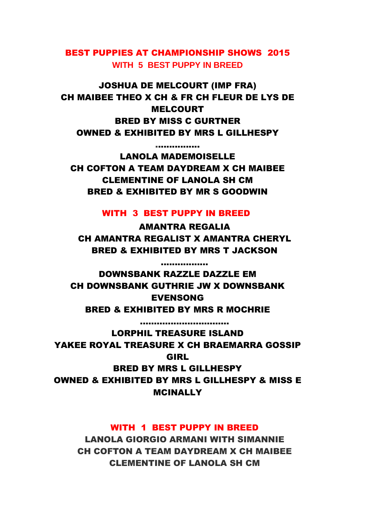BEST PUPPIES AT CHAMPIONSHIP SHOWS 2015 **WITH 5 BEST PUPPY IN BREED**

JOSHUA DE MELCOURT (IMP FRA) CH MAIBEE THEO X CH & FR CH FLEUR DE LYS DE MELCOURT BRED BY MISS C GURTNER OWNED & EXHIBITED BY MRS L GILLHESPY

................ LANOLA MADEMOISELLE CH COFTON A TEAM DAYDREAM X CH MAIBEE CLEMENTINE OF LANOLA SH CM BRED & EXHIBITED BY MR S GOODWIN

WITH 3 BEST PUPPY IN BREED

AMANTRA REGALIA CH AMANTRA REGALIST X AMANTRA CHERYL BRED & EXHIBITED BY MRS T JACKSON

.................

DOWNSBANK RAZZLE DAZZLE EM CH DOWNSBANK GUTHRIE JW X DOWNSBANK EVENSONG BRED & EXHIBITED BY MRS R MOCHRIE

................................ LORPHIL TREASURE ISLAND YAKEE ROYAL TREASURE X CH BRAEMARRA GOSSIP GIRL BRED BY MRS L GILLHESPY

OWNED & EXHIBITED BY MRS L GILLHESPY & MISS E **MCINALLY** 

## WITH 1 BEST PUPPY IN BREED

LANOLA GIORGIO ARMANI WITH SIMANNIE CH COFTON A TEAM DAYDREAM X CH MAIBEE CLEMENTINE OF LANOLA SH CM